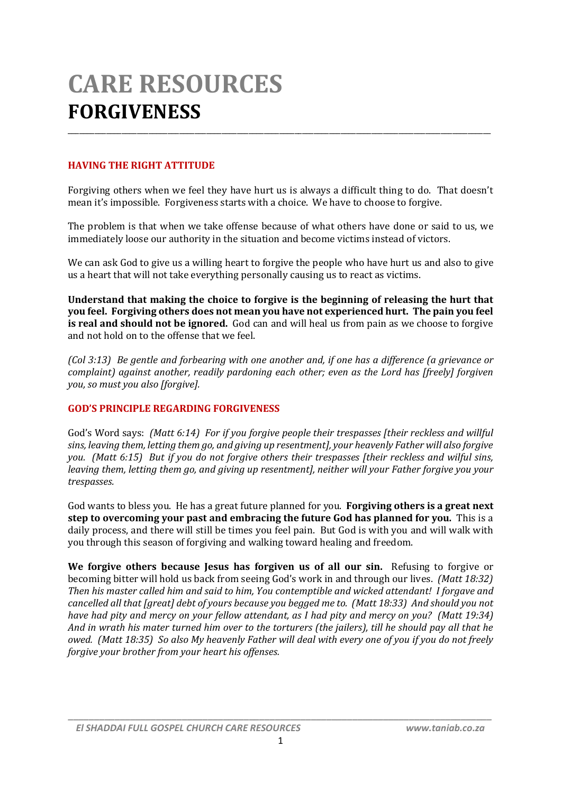# **CARE RESOURCES FORGIVENESS**

## **HAVING THE RIGHT ATTITUDE**

Forgiving others when we feel they have hurt us is always a difficult thing to do. That doesn't mean it's impossible. Forgiveness starts with a choice. We have to choose to forgive.

\_\_\_\_\_\_\_\_\_\_\_\_\_\_\_\_\_\_\_\_\_\_\_\_\_\_\_\_\_\_\_\_\_\_\_\_\_\_\_\_\_\_\_\_\_\_\_\_\_\_\_\_\_\_\_\_\_\_\_\_\_\_\_\_\_\_\_\_\_\_\_\_\_\_\_\_\_\_\_\_\_\_\_\_\_\_\_\_\_\_\_\_\_\_\_\_\_\_\_\_\_\_\_\_\_\_\_\_\_\_

The problem is that when we take offense because of what others have done or said to us, we immediately loose our authority in the situation and become victims instead of victors.

We can ask God to give us a willing heart to forgive the people who have hurt us and also to give us a heart that will not take everything personally causing us to react as victims.

**Understand that making the choice to forgive is the beginning of releasing the hurt that you feel. Forgiving others does not mean you have not experienced hurt. The pain you feel is real and should not be ignored.** God can and will heal us from pain as we choose to forgive and not hold on to the offense that we feel.

*(Col 3:13) Be gentle and forbearing with one another and, if one has a difference (a grievance or complaint) against another, readily pardoning each other; even as the Lord has [freely] forgiven you, so must you also [forgive].*

#### **GOD'S PRINCIPLE REGARDING FORGIVENESS**

God's Word says: *(Matt 6:14) For if you forgive people their trespasses [their reckless and willful sins, leaving them, letting them go, and giving up resentment], your heavenly Father will also forgive you. (Matt 6:15) But if you do not forgive others their trespasses [their reckless and wilful sins, leaving them, letting them go, and giving up resentment], neither will your Father forgive you your trespasses.*

God wants to bless you. He has a great future planned for you. **Forgiving others is a great next step to overcoming your past and embracing the future God has planned for you.** This is a daily process, and there will still be times you feel pain. But God is with you and will walk with you through this season of forgiving and walking toward healing and freedom.

**We forgive others because Jesus has forgiven us of all our sin.** Refusing to forgive or becoming bitter will hold us back from seeing God's work in and through our lives. *(Matt 18:32) Then his master called him and said to him, You contemptible and wicked attendant! I forgave and cancelled all that [great] debt of yours because you begged me to. (Matt 18:33) And should you not have had pity and mercy on your fellow attendant, as I had pity and mercy on you? (Matt 19:34) And in wrath his mater turned him over to the torturers (the jailers), till he should pay all that he owed. (Matt 18:35) So also My heavenly Father will deal with every one of you if you do not freely forgive your brother from your heart his offenses.*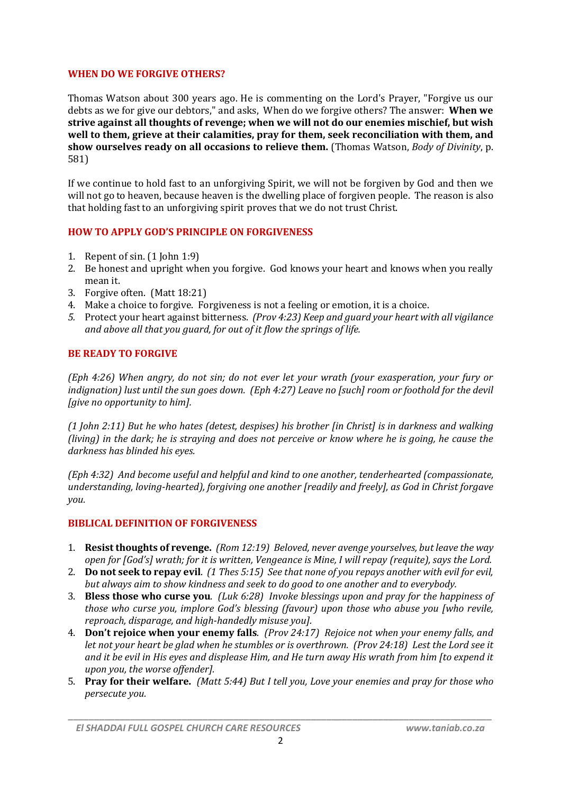#### **WHEN DO WE FORGIVE OTHERS?**

Thomas Watson about 300 years ago. He is commenting on the Lord's Prayer, "Forgive us our debts as we for give our debtors," and asks, When do we forgive others? The answer: **When we strive against all thoughts of revenge; when we will not do our enemies mischief, but wish well to them, grieve at their calamities, pray for them, seek reconciliation with them, and show ourselves ready on all occasions to relieve them.** (Thomas Watson, *Body of Divinity*, p. 581)

If we continue to hold fast to an unforgiving Spirit, we will not be forgiven by God and then we will not go to heaven, because heaven is the dwelling place of forgiven people. The reason is also that holding fast to an unforgiving spirit proves that we do not trust Christ.

## **HOW TO APPLY GOD'S PRINCIPLE ON FORGIVENESS**

- 1. Repent of sin. (1 John 1:9)
- 2. Be honest and upright when you forgive. God knows your heart and knows when you really mean it.
- 3. Forgive often. (Matt 18:21)
- 4. Make a choice to forgive. Forgiveness is not a feeling or emotion, it is a choice.
- *5.* Protect your heart against bitterness. *(Prov 4:23) Keep and guard your heart with all vigilance and above all that you guard, for out of it flow the springs of life.*

## **BE READY TO FORGIVE**

*(Eph 4:26) When angry, do not sin; do not ever let your wrath (your exasperation, your fury or indignation) lust until the sun goes down. (Eph 4:27) Leave no [such] room or foothold for the devil [give no opportunity to him].*

*(1 John 2:11) But he who hates (detest, despises) his brother [in Christ] is in darkness and walking (living) in the dark; he is straying and does not perceive or know where he is going, he cause the darkness has blinded his eyes.*

*(Eph 4:32) And become useful and helpful and kind to one another, tenderhearted (compassionate, understanding, loving-hearted), forgiving one another [readily and freely], as God in Christ forgave you.*

#### **BIBLICAL DEFINITION OF FORGIVENESS**

- 1. **Resist thoughts of revenge.** *(Rom 12:19) Beloved, never avenge yourselves, but leave the way open for [God's] wrath; for it is written, Vengeance is Mine, I will repay (requite), says the Lord.*
- 2. **Do not seek to repay evil**. *(1 Thes 5:15) See that none of you repays another with evil for evil, but always aim to show kindness and seek to do good to one another and to everybody.*
- 3. **Bless those who curse you**. *(Luk 6:28) Invoke blessings upon and pray for the happiness of those who curse you, implore God's blessing (favour) upon those who abuse you [who revile, reproach, disparage, and high-handedly misuse you].*
- 4. **Don't rejoice when your enemy falls**. *(Prov 24:17) Rejoice not when your enemy falls, and let not your heart be glad when he stumbles or is overthrown. (Prov 24:18) Lest the Lord see it and it be evil in His eyes and displease Him, and He turn away His wrath from him [to expend it upon you, the worse offender].*
- 5. **Pray for their welfare.** *(Matt 5:44) But I tell you, Love your enemies and pray for those who persecute you.*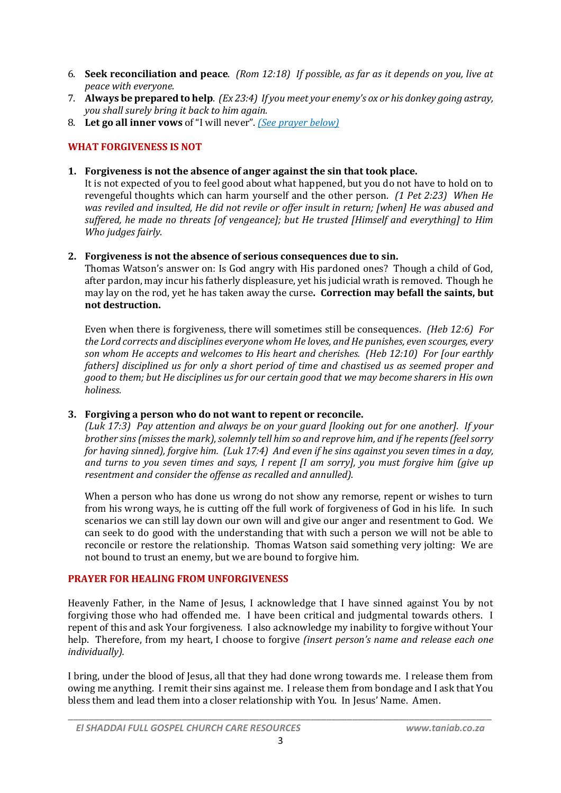- 6. **Seek reconciliation and peace**. *(Rom 12:18) If possible, as far as it depends on you, live at peace with everyone.*
- 7. **Always be prepared to help**. *(Ex 23:4) If you meet your enemy's ox or his donkey going astray, you shall surely bring it back to him again.*
- 8. **Let go all inner vows** of "I will never". *(See prayer below)*

## **WHAT FORGIVENESS IS NOT**

**1. Forgiveness is not the absence of anger against the sin that took place.**

It is not expected of you to feel good about what happened, but you do not have to hold on to revengeful thoughts which can harm yourself and the other person. *(1 Pet 2:23) When He was reviled and insulted, He did not revile or offer insult in return; [when] He was abused and suffered, he made no threats [of vengeance]; but He trusted [Himself and everything] to Him Who judges fairly.* 

## **2. Forgiveness is not the absence of serious consequences due to sin.**

Thomas Watson's answer on: Is God angry with His pardoned ones? Though a child of God, after pardon, may incur his fatherly displeasure, yet his judicial wrath is removed. Though he may lay on the rod, yet he has taken away the curse**. Correction may befall the saints, but not destruction.** 

Even when there is forgiveness, there will sometimes still be consequences. *(Heb 12:6) For the Lord corrects and disciplines everyone whom He loves, and He punishes, even scourges, every son whom He accepts and welcomes to His heart and cherishes. (Heb 12:10) For [our earthly fathers] disciplined us for only a short period of time and chastised us as seemed proper and good to them; but He disciplines us for our certain good that we may become sharers in His own holiness.*

## **3. Forgiving a person who do not want to repent or reconcile.**

*(Luk 17:3) Pay attention and always be on your guard [looking out for one another]. If your brother sins (misses the mark), solemnly tell him so and reprove him, and if he repents (feel sorry for having sinned), forgive him. (Luk 17:4) And even if he sins against you seven times in a day, and turns to you seven times and says, I repent [I am sorry], you must forgive him (give up resentment and consider the offense as recalled and annulled).*

When a person who has done us wrong do not show any remorse, repent or wishes to turn from his wrong ways, he is cutting off the full work of forgiveness of God in his life. In such scenarios we can still lay down our own will and give our anger and resentment to God. We can seek to do good with the understanding that with such a person we will not be able to reconcile or restore the relationship. Thomas Watson said something very jolting: We are not bound to trust an enemy, but we are bound to forgive him.

#### **PRAYER FOR HEALING FROM UNFORGIVENESS**

Heavenly Father, in the Name of Jesus, I acknowledge that I have sinned against You by not forgiving those who had offended me. I have been critical and judgmental towards others. I repent of this and ask Your forgiveness. I also acknowledge my inability to forgive without Your help. Therefore, from my heart, I choose to forgive *(insert person's name and release each one individually).* 

I bring, under the blood of Jesus, all that they had done wrong towards me. I release them from owing me anything. I remit their sins against me. I release them from bondage and I ask that You bless them and lead them into a closer relationship with You. In Jesus' Name. Amen.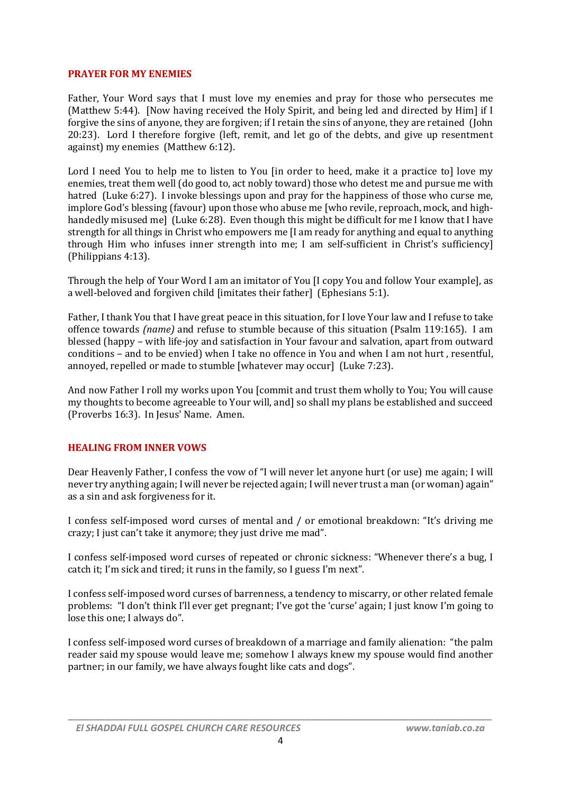#### **PRAYER FOR MY ENEMIES**

Father, Your Word says that I must love my enemies and pray for those who persecutes me (Matthew 5:44). [Now having received the Holy Spirit, and being led and directed by Him] if  $I$ forgive the sins of anyone, they are forgiven; if I retain the sins of anyone, they are retained (John 20:23). Lord I therefore forgive (left, remit, and let go of the debts, and give up resentment against) my enemies (Matthew 6:12).

Lord I need You to help me to listen to You [in order to heed, make it a practice to] love my enemies, treat them well (do good to, act nobly toward) those who detest me and pursue me with hatred (Luke 6:27). I invoke blessings upon and pray for the happiness of those who curse me, implore God's blessing (favour) upon those who abuse me [who revile, reproach, mock, and highhandedly misused me] (Luke 6:28). Even though this might be difficult for me I know that I have strength for all things in Christ who empowers me [I am ready for anything and equal to anything through Him who infuses inner strength into me; I am self-sufficient in Christ's sufficiency] (Philippians 4:13).

Through the help of Your Word I am an imitator of You [I copy You and follow Your example], as a well-beloved and forgiven child [imitates their father] (Ephesians 5:1).

Father, I thank You that I have great peace in this situation, for I love Your law and I refuse to take offence towards *(name)* and refuse to stumble because of this situation (Psalm 119:165). I am blessed (happy – with life-joy and satisfaction in Your favour and salvation, apart from outward conditions – and to be envied) when I take no offence in You and when I am not hurt , resentful, annoyed, repelled or made to stumble [whatever may occur] (Luke 7:23).

And now Father I roll my works upon You [commit and trust them wholly to You; You will cause my thoughts to become agreeable to Your will, and] so shall my plans be established and succeed (Proverbs 16:3). In Jesus' Name. Amen.

#### **HEALING FROM INNER VOWS**

Dear Heavenly Father, I confess the vow of "I will never let anyone hurt (or use) me again; I will never try anything again; I will never be rejected again; I will never trust a man (or woman) again" as a sin and ask forgiveness for it.

I confess self-imposed word curses of mental and / or emotional breakdown: "It's driving me crazy; I just can't take it anymore; they just drive me mad".

I confess self-imposed word curses of repeated or chronic sickness: "Whenever there's a bug, I catch it; I'm sick and tired; it runs in the family, so I guess I'm next".

I confess self-imposed word curses of barrenness, a tendency to miscarry, or other related female problems: "I don't think I'll ever get pregnant; I've got the 'curse' again; I just know I'm going to lose this one; I always do".

I confess self-imposed word curses of breakdown of a marriage and family alienation: "the palm reader said my spouse would leave me; somehow I always knew my spouse would find another partner; in our family, we have always fought like cats and dogs".